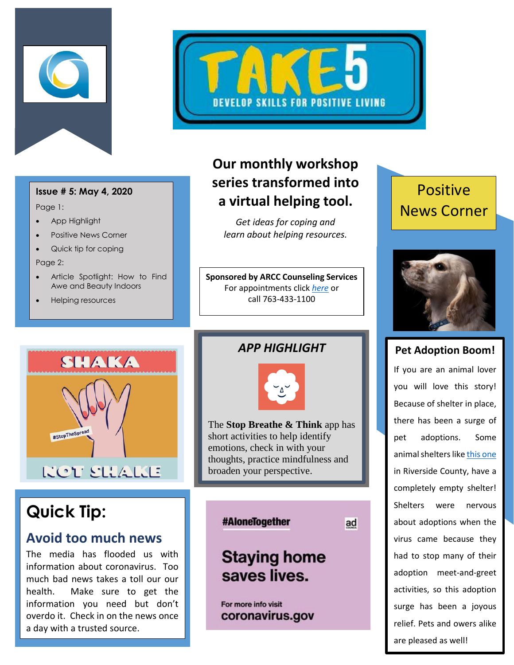



#### **Issue # 5: May 4, 2020**

Page 1:

- App Highlight
- Positive News Corner
- Quick tip for coping

Page 2:

- Article Spotlight: How to Find Awe and Beauty Indoors
- Helping resources

### **Our monthly workshop series transformed into a virtual helping tool.**

*Get ideas for coping and learn about helping resources.*

**Sponsored by ARCC Counseling Services** For appointments click *[here](http://www.anokaramsey.edu/resources/counseling-services/personal-counseling/)* or call 763-433-1100

## Positive News Corner



#### **Pet Adoption Boom!**

If you are an animal lover you will love this story! Because of shelter in place, there has been a surge of pet adoptions. Some animal shelters lik[e this one](https://www.wired.com/story/coronavirus-pet-adoption-boom/) in Riverside County, have a completely empty shelter! Shelters were nervous about adoptions when the virus came because they had to stop many of their adoption meet-and-greet activities, so this adoption surge has been a joyous relief. Pets and owers alike are pleased as well!



# **Quick Tip:**

#### **Avoid too much news**

The media has flooded us with information about coronavirus. Too much bad news takes a toll our our health. Make sure to get the information you need but don't overdo it. Check in on the news once a day with a trusted source.

#### *APP HIGHLIGHT*



The **Stop Breathe & Think** app has short activities to help identify emotions, check in with your thoughts, practice mindfulness and broaden your perspective. l

#### #AloneTogether

ad

# **Staying home** saves lives.

For more info visit coronavirus.gov